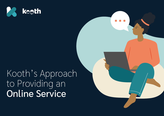

# Kooth's Approach to Providing an Online Service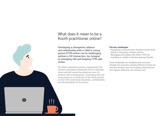## What does it mean to be a Kooth practitioner online?

Developing a therapeutic alliance and relationship with a child or young person (CYP) online can be challenging without a f2f interaction, but integral to managing risk and keeping CYPs safe online.

 $\overline{\mathcal{L}}$ 

The Kooth assessment process, based around the common assessment framework (CAF) is thorough, robust and will usually be carried out over 3-4 sessions with a young person. Contracting with the young person is a crucial part of the initial process, so that CYPs understand anonymity, confidentiality and the boundaries of the service.

#### **The key challenges:**

- Navigating communication through written word, which is inherently a slower process.
- Managing and holding risk where CYPs are unwilling or unable to disclose personal details.

These challenges are mitigated and overcome through the extensive training offered by Kooth for new practitioners and the on-going infrastructure and support offered by the clinical team.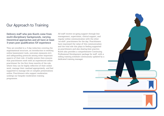## Our Approach to Training

#### Delivery staff who join Kooth come from multi-disciplinary backgrounds, varying theoretical approaches and all have at least 3-years post qualification f2f experience

They are enrolled in a 3-day induction covering the organisational structure, an introduction to working online (assessment tools, outcomes measures etc), and safeguarding protocols among other important aspects of their role. A buddy system then ensures that practitioners work with an experienced online practitioner for the first three months of the role, where they can be highly reflective of their online work, manage their caseload appropriately, and feel supported to manage risk or complex presentations online. Practitioners who support moderation undergo our bespoke moderation training programme.

All staff receive on-going support through line management, supervision, clinical support, and regular online communication with the other 'on-shift' practitioners for the day. Practitioners have expressed the value of this communication and the vital role this plays in feeling supported as practitioners and also sharing best practice. Kooth also provides a comprehensive Continuing Professional Development package for staff, with a rolling training schedule continuously updated by a dedicated training manager.

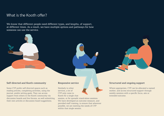## What is the Kooth offer?

We know that different people need different types, and lengths, of support, at different times. As a result, we have multiple options and pathways for how someone can use the service.

#### Self-directed and Kooth community

Some CYP prefer self-directed spaces such as reading articles, completing activities, using the journal, and/or setting goals. They can access support from others in the Kooth community via discussion boards and live forums, as well submitting their own articles or discussion board suggestions.

#### Responsive service

Similarly to other services, a lot of CYP only come to Kooth for a single chat

session, or for sporadic stand-alone sessions. We have developed an outcome measure, and provided staff training, to ensure that wherever possible, we are meeting the needs of CYP within that single session.

#### Structured and ongoing support

Where appropriate, CYP can be allocated a named worker, and access structured support through weekly sessions with a specific focus, aim or intended outcome.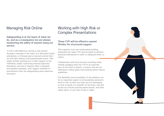## Managing Risk Online

Safeguarding is at the heart of what we do, and as a consequence we are always monitoring the safety of anyone using our service.

 If risk is identified (e.g. during a chat session, through a message to the team, in a discussion board submission, or through goal or journal entries) then we will take relevant and proportionate action. This might include reaching out to offer support to the individual, and/or contacting external agencies/ emergency services if required. Risk is assessed and updated regularly, with support available to practitioners from the safeguarding team wherever necessary.

## Working with High Risk or Complex Presentations

#### These CYP will be offered a named Worker for structured support.

This supports trust and relationship building, imperative for when CYP may be asked to disclose personal information in order to safeguard them, or others.

Collaboration with local services including those already engaging with the CYP is an essential part of the work on Kooth, to ensure that we are adhering to safety plans and working within ethical guidelines.

The flexibility and accessibility of the platform can be an important aspect in de-escalating someone's level of risk, as they can reach out via messaging or chat to speak to a member of the team, and also access our articles and discussion boards, and their safety plans, at any time of day or night.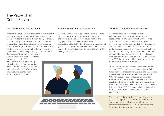## The Value of an Online Service

### For Children and Young People

Where CYP have choice in their service involvement and are supported through collaborative working across services they are much more likely to engage. The anonymity of online services has been found to provide a higher level of safety experienced by the CYP; Kooth practitioners see this translate into the level of disclosure by CYP online which can sometimes be much deeper and quicker due to the 'facelessness' that online therapeutic support facilitates. There is a visible journey we see for CYP who arrive at Kooth presenting with chaotic, possibly compulsive behaviour, where they are offered a named worker and after a short time display a calmer, more reflective process online.

#### From a Practitioner's Perspective

CYPs choosing to log on and make an independent decision to use Kooth is empowering for both the practitioner and the CYP, illustrating active engagement in the CYPs own well-being. The accessibility afforded by Kooth results in messages of gratitude being commonplace between CYP and the team, where there is a clear demonstration of a CYP feeling supported.



#### Working Alongside Other Services

Feedback from other services we work collaboratively with is often in the form of reassurance for having an 'out of hours' service that can be accessed in some format 24-hours a day, every day of the year. Whilst practitioners are not available 24/7, CYPs can access the articles and discussion boards at any time, as well as being able to send a message to the team which will be responded to as soon as possible. Kooth does not require a referral to access, so if it is commissioned for a CYP then they are able to sign up themselves and instantly access our materials.

Where Kooth can be a valuable treatment option for many CYP, it can also hold and support CYP while they are engaging with an existing therapeutic process elsewhere. We are keen to support every CYP who requires our services as an individual, offering care appropriate to their needs, and as a result Kooth never seeks to work in isolation from other services where collaboration will be in the best interest of the CYP. This may include collaborating with other services, to ensure joined up and consistent care.

We also recognise that Kooth is not always best placed to support a CYP and their needs, and in these cases we would signpost and refer to the relevant external services. This may also include liaising with emergency or crisis services.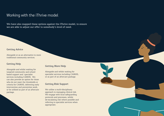## Working with the iThrive model

We have also mapped these options against the iThrive model, to ensure we are able to adjust our offer to somebody's level of need.

#### Getting Advice

Alongside or as an alternative to more traditional community services.

#### Getting Help

Alongside and whilst waiting for targeted community and schoolbased support and specialist services including CAMHS. We can also provide an option for those who do not meet the thresholds or criteria for CAMHS, delivering early intervention and prevention work, or be utilised as part of an aftercare package.

#### Getting More Help

Alongside and whilst waiting for specialist services including CAMHS, or as part of an aftercare package.

#### Getting Risk Support

We utilise a multi-disciplinary approach to managing clinical risk. We engage with local safeguarding protocols and processes, whilst de-escalating risk where possible and referring to specialist services when appropriate.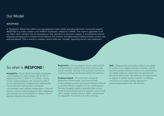## Our Model

#### iRESPOND

A Therapeutic Model that reflects our organisational values whilst providing informed, trauma-led support, iRESPOND is a similar model to the iTHRIVE framework utilised by CAMHS. The model is applicable to all our direct work, whether that be messaging or chat, and short or long term support. It incorporates a shared language and approach to clinical service delivery that informs the relationship building between service user and practitioner. This is central to ongoing clinical audit and, crucially, improving service user experience.

**Integrative -** Kooth works best when integrated into a localised or wider system. We do this by paying attention to these 4 Cs: Context: having a clear understanding of the contexts in which we are operating (eg complimentary differences); Communication: having early and regular conversations with relevant stakeholders; Controls: having a shared understanding of risks, mitigations and controls and accountability for these; Culture: having a shared cultural alliance.

**So what is iRESPOND? Responsive -** We can support service users quickly and specifically at times when other services may not be available, through both planned and drop in support as well as community based interventions.

> **Evidence-based** - We work with a range of presenting clinical issues, and draw on both evidence-based practice and practice-based evidence to provide effective support for the 'whole person.' We also recognise where a specialist face-to-face evidence based intervention is required, and in such cases support onward referral whilst continuing to be 'alongside' the person and other services.

**Safe -** Safeguarding vulnerable children and adults is central to our quality assurance process, and we provide ongoing training to ensure our practitioners are highly skilled in conducting risk assessments and de-escalating risk. We welcome the opportunity to engage in shared 'lessons learned' workshops that focus on a whole system approach to continuously improve our safe practice.